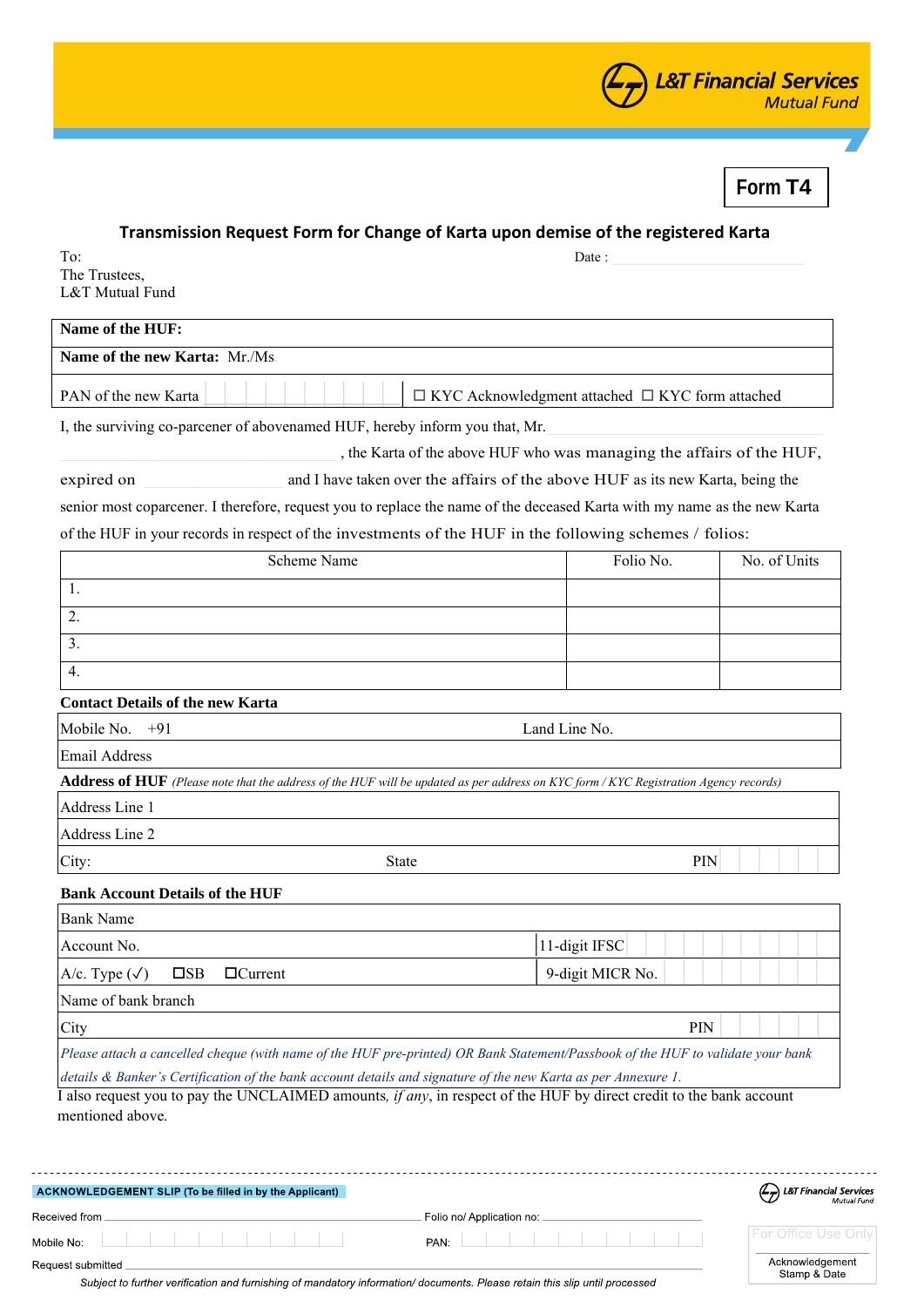

**Form T4**

## **Transmission Request Form for Change of Karta upon demise of the registered Karta**

 $To:$  Date : The Trustees, L&T Mutual Fund

| Name of the HUF:                                |  |
|-------------------------------------------------|--|
| <b>Name of the new Karta: Mr./Ms.</b>           |  |
|                                                 |  |
| THE STRIKE CLIPPS INTEREST AND A LOCAL CONTRACT |  |

I, the surviving co-parcener of abovenamed HUF, hereby inform you that, Mr.

, the Karta of the above HUF who was managing the affairs of the HUF,

| expired on | and I have taken over the affairs of the above HUF as its new Karta, being the |
|------------|--------------------------------------------------------------------------------|
|            |                                                                                |

senior most coparcener. I therefore, request you to replace the name of the deceased Karta with my name as the new Karta of the HUF in your records in respect of the investments of the HUF in the following schemes / folios:

| Scheme Name | Folio No. | No. of Units |
|-------------|-----------|--------------|
| .,          |           |              |
| <u>.</u>    |           |              |
| .ر          |           |              |
| 4.          |           |              |

## **Contact Details of the new Karta**

| Mobile No.<br>$+91$                    | Land Line No.                                                                                                                                |     |
|----------------------------------------|----------------------------------------------------------------------------------------------------------------------------------------------|-----|
| Email Address                          |                                                                                                                                              |     |
|                                        | <b>Address of HUF</b> (Please note that the address of the HUF will be updated as per address on KYC form / KYC Registration Agency records) |     |
| Address Line 1                         |                                                                                                                                              |     |
| Address Line 2                         |                                                                                                                                              |     |
| City:                                  | <b>State</b>                                                                                                                                 | PIN |
| <b>Bank Account Details of the HUF</b> |                                                                                                                                              |     |
| <b>Bank Name</b>                       |                                                                                                                                              |     |

| Account No.                                                                                                            |                                | 11-digit IFSC                                                                                                                   |
|------------------------------------------------------------------------------------------------------------------------|--------------------------------|---------------------------------------------------------------------------------------------------------------------------------|
| $A/c. Type (\sqrt{ }$                                                                                                  | $\Box$ Current<br>$\square$ SB | 9-digit MICR No.                                                                                                                |
| Name of bank branch                                                                                                    |                                |                                                                                                                                 |
| City                                                                                                                   |                                | <b>PIN</b>                                                                                                                      |
|                                                                                                                        |                                | Please attach a cancelled cheque (with name of the HUF pre-printed) OR Bank Statement/Passbook of the HUF to validate your bank |
|                                                                                                                        |                                | details & Banker's Certification of the bank account details and signature of the new Karta as per Annexure 1.                  |
| also request you to pay the UNCLAIMED amounts <i>if any</i> in respect of the HUE by direct credit to the bank account |                                |                                                                                                                                 |

I also request you to pay the UNCLAIMED amounts*, if any*, in respect of the HUF by direct credit to the bank account mentioned above.

| ACKNOWLEDGEMENT SLIP (To be filled in by the Applicant)                                                                                         |                           | L&T Financial Services          |
|-------------------------------------------------------------------------------------------------------------------------------------------------|---------------------------|---------------------------------|
| Received from                                                                                                                                   | Folio no/ Application no: |                                 |
| Mobile No:                                                                                                                                      | PAN:                      | <b>IFor Office Use Only</b>     |
| Request submitted<br>Subject to further verification and furnishing of mandatory information/documents. Please retain this slip until processed |                           | Acknowledgement<br>Stamp & Date |